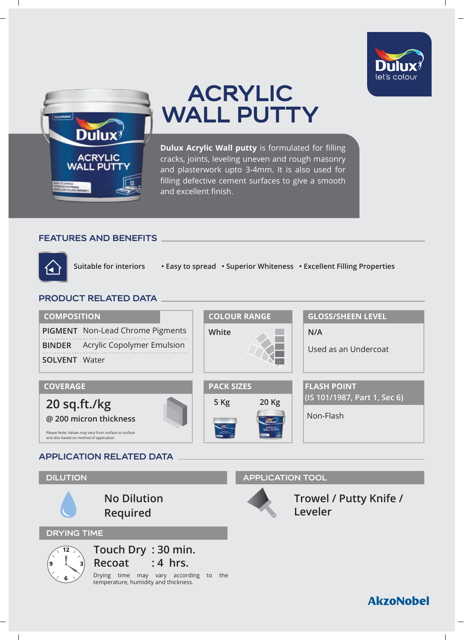



# **ACRYLIC WALL PUTTY**

**Dulux Acrylic Wall putty** is formulated for filling cracks, joints, leveling uneven and rough masonry and plasterwork upto 3-4mm. It is also used for filling defective cement surfaces to give a smooth and excellent finish.

# **FEATURES AND BENEFITS**



**Suitable for interiors • Easy to spread • Superior Whiteness • Excellent Filling Properties**

# **PRODUCT RELATED DATA**